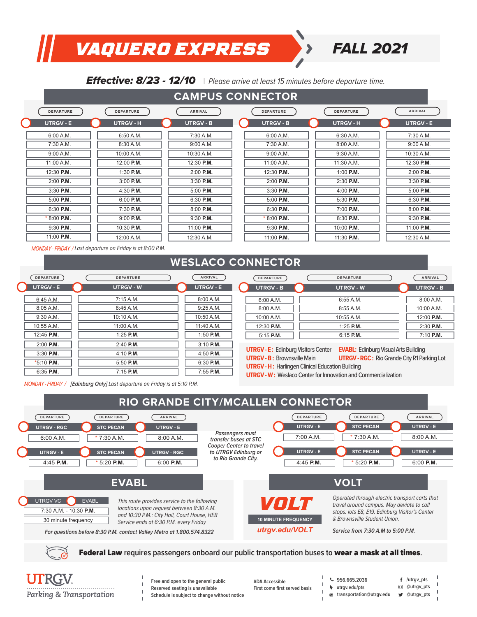### *VAQUERO EXPRESS FALL 2021*

#### **Effective: 8/23 - 12/10** | Please arrive at least 15 minutes before departure time.

| <b>CAMPUS CONNECTOR</b> |                  |                  |                  |                  |                  |  |
|-------------------------|------------------|------------------|------------------|------------------|------------------|--|
| DEPARTURE               | <b>DEPARTURE</b> | <b>ARRIVAL</b>   | <b>DEPARTURE</b> | <b>DEPARTURE</b> | <b>ARRIVAL</b>   |  |
| <b>UTRGV - E</b>        | <b>UTRGV - H</b> | <b>UTRGV - B</b> | <b>UTRGV - B</b> | <b>UTRGV-H</b>   | <b>UTRGV - E</b> |  |
| 6:00 A.M.               | 6:50 A.M.        | 7:30 A.M.        | 6:00 A.M.        | 6:30 A.M.        | 7:30 A.M.        |  |
| 7:30 A.M.               | 8:30 A.M.        | 9:00 A.M.        | 7:30 A.M.        | 8:00 A.M.        | 9:00 A.M.        |  |
| 9:00 A.M.               | 10:00 A.M.       | 10:30 A.M.       | 9:00 A.M.        | 9:30 A.M.        | 10:30 A.M.       |  |
| 11:00 A.M.              | 12:00 P.M.       | 12:30 P.M.       | 11:00 A.M.       | 11:30 A.M.       | 12:30 P.M.       |  |
| 12:30 P.M.              | $1:30$ P.M.      | 2:00 P.M.        | 12:30 P.M.       | $1:00$ P.M.      | 2:00 P.M.        |  |
| $2:00$ P.M.             | $3:00$ P.M.      | $3:30$ P.M.      | 2:00 P.M.        | 2:30 P.M.        | 3:30 P.M.        |  |
| $3:30$ P.M.             | 4:30 P.M.        | $5:00$ P.M.      | 3:30 P.M.        | $4:00$ P.M.      | 5:00 P.M.        |  |
| 5:00 P.M.               | 6:00 P.M.        | 6:30 P.M.        | 5:00 P.M.        | 5:30 P.M.        | 6:30 P.M.        |  |
| 6:30 P.M.               | $7:30$ P.M.      | $8:00$ P.M.      | 6:30 P.M.        | $7:00$ P.M.      | 8:00 P.M.        |  |
| $*8:00$ P.M.            | $9:00$ P.M.      | $9:30$ P.M.      | $*8:00$ P.M.     | 8:30 P.M.        | 9:30 P.M.        |  |
| $9:30$ P.M.             | 10:30 P.M.       | 11:00 P.M.       | 9:30 P.M.        | 10:00 P.M.       | 11:00 P.M.       |  |
| 11:00 P.M.              | 12:00 A.M.       | 12:30 A.M.       | 11:00 P.M.       | 11:30 P.M.       | 12:30 A.M.       |  |

*MONDAY - FRIDAY / Last departure on Friday is at 8:00 P.M.* 

#### **WESLACO CONNECTOR**

| <b>DEPARTURE</b> | <b>DEPARTURE</b> | <b>ARRIVAL</b>   |
|------------------|------------------|------------------|
| <b>UTRGV-E</b>   | <b>UTRGV - W</b> | <b>UTRGV - E</b> |
| 6:45A.M.         | 7:15 A.M.        | 8:00 A.M.        |
| 8:05A.M.         | 8:45A.M.         | 9:25 A.M.        |
| 9:30 A.M.        | 10:10 A.M.       | 10:50 A.M.       |
| 10:55 A.M.       | 11:00 A.M.       | 11:40 A.M.       |
| 12:45 P.M.       | $1:25$ P.M.      | $1:50$ P.M.      |
| $2:00$ P.M.      | $2:40$ P.M.      | $3:10$ P.M.      |
| $3:30$ P.M.      | $4:10$ P.M.      | $4:50$ P.M.      |
| $*5:10$ P.M.     | $5:50$ P.M.      | $6:30$ P.M.      |
| $6:35$ P.M.      | $7:15$ P.M.      | $7:55$ P.M.      |

*MONDAY - FRIDAY / [Edinburg Only] Last departure on Friday is at 5:10 P.M.* 

| DEPARTURE        | <b>DEPARTURE</b> | ARRIVAL          | <b>DEPARTURE</b> | <b>DEPARTURE</b> | <b>ARRIVAL</b>   |
|------------------|------------------|------------------|------------------|------------------|------------------|
| <b>JTRGV - E</b> | <b>UTRGV - W</b> | <b>UTRGV - E</b> | <b>UTRGV - B</b> | <b>UTRGV - W</b> | <b>UTRGV - B</b> |
| 6:45 A.M.        | 7:15 A.M.        | 8:00 A.M.        | 6:00 A.M.        | 6:55A.M.         | 8:00 A.M.        |
| 8:05 A.M.        | 8:45 A.M.        | 9:25 A.M.        | 8:00 A.M.        | 8:55A.M.         | 10:00 A.M.       |
| 9:30 A.M.        | 10:10 A.M.       | 10:50 A.M.       | 10:00 A.M.       | 10:55 A.M.       | 12:00 P.M.       |
| 0:55A.M.         | 11:00 A.M.       | 11:40 A.M.       | $12:30$ P.M.     | $1:25$ P.M.      | $2:30$ P.M.      |
| 2:45 P.M.        | $1:25$ P.M.      | $1:50$ P.M.      | 5:15 P.M.        | $6:15$ P.M.      | 7:10 P.M.        |
| -------          | - - - - - -      | - - - - - -      |                  |                  |                  |

**UTRGV - E :** Edinburg Visitors Center **EVABL:** Edinburg Visual Arts Building

**UTRGV - B :** Brownsville Main **UTRGV - RGC :** Rio Grande City R1 Parking Lot **UTRGV - H :** Harlingen Clinical Education Building

**UTRGV - W :** Weslaco Center for Innovation and Commercialization

**RIO GRANDE CITY/MCALLEN CONNECTOR UTRGV - RGC STC PECAN UTRGV - E** UTRGV - E **STC PECAN** UTRGV - RGC **UTRGV - E STC PECAN DUTRGV - E UTRGV - E** STC PECAN **DUTRGV - E DEPARTURE DEPARTURE ARRIVAL DEPARTURE DEPARTURE ARRIVAL**  $7:30 A.M.$ \* 5:20 **P.M.** 4:45 **P.M.** 6:00 **P.M.** 6:00 A.M. 8:00 A.M.  $7:00$  A.M.  $7:30$  A.M. 8:00 A.M. 4:45 **P.M.** \* 5:20 **P.M.** 6:00 **P.M.** *Passengers must transfer buses at STC Cooper Center to travel to UTRGV Edinburg or to Rio Grande City.* **EVABL VOLT** UTRGV VC EVABL For questions before 8:30 P.M. contact Valley Metro at 1.800.574.8322 **Service from 7:30 A.M to 5:00 P.M. Contact Valley Metro at 1.800.574.8322 Contact Valley Metro at 1.800.574.8322 10 MINUTE FREQUENCY** *utrgv.edu/VOLT* 7:30 A.M. - 10:30 **P.M.** 30 minute frequency *Operated through electric transport carts that travel around campus. May deviate to call stops: lots E8, E19, Edinburg Visitor's Center & Brownsville Student Union. This route provides service to the following locations upon request between 8:30 A.M. and 10:30 P.M.: City Hall, Court House, HEB Service ends at 6:30 P.M. every Friday VOLT*

Federal Law **requires passengers onboard our public transportation buses to** wear a mask at all times**.** 



- 
- **Reserved seating is unavailable Schedule is subject to change without notice the subject of the subject to change without notice the subject** of  $\cdot$  **the subject to change without notice**

**Free and open to the general public ADA Accessible**<br> **Reserved seating is unavailable First come first served basis** 

| $\frac{1}{2}$ 956.665.203 |  |  |  |
|---------------------------|--|--|--|
|                           |  |  |  |

- **956.665.2036**
- **/utrgv\_pts utrgv.edu/pts @utrgv\_pts**
	- **@utrgv\_pts**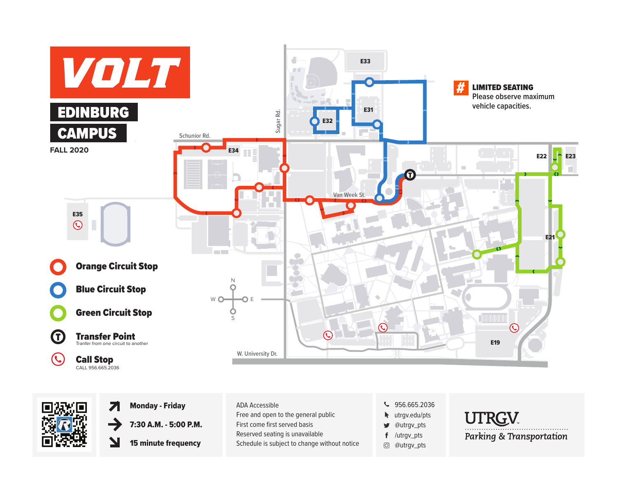



Z 7:30 A.M. - 5:00 P.M.

 $\blacktriangleright$ 15 minute frequency

| <b>Monday - Friday</b>     | ADA Accessible                               | $\bullet$ 956.665.2036              |
|----------------------------|----------------------------------------------|-------------------------------------|
|                            | Free and open to the general public          | $\blacktriangleright$ utrgv.edu/pts |
| 7:30 A.M. - 5:00 P.M.      | First come first served basis                | @utrqv_pts<br>$\bullet$             |
|                            | Reserved seating is unavailable              | $f$ /utrqv_pts                      |
| <b>15 minute frequency</b> | Schedule is subject to change without notice | @utrqv_pts<br>ЮÎ                    |

- 
- **w** utrgv.edu/pts
- @utrgv\_pts ý
- f /utrgv\_pts
- @utrgv\_pts

**UTRGV**<br>Parking & Transportation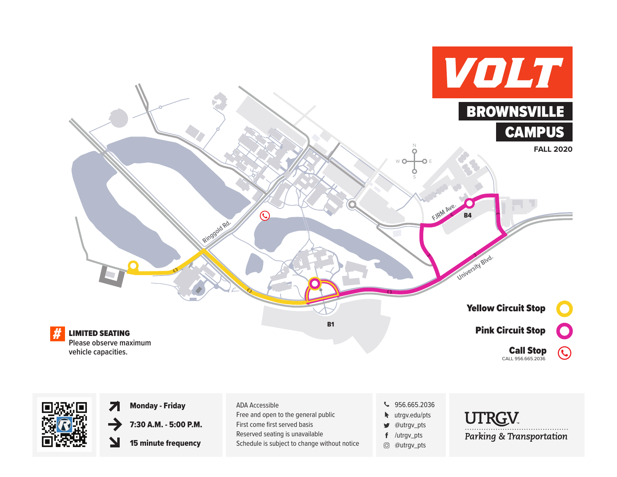